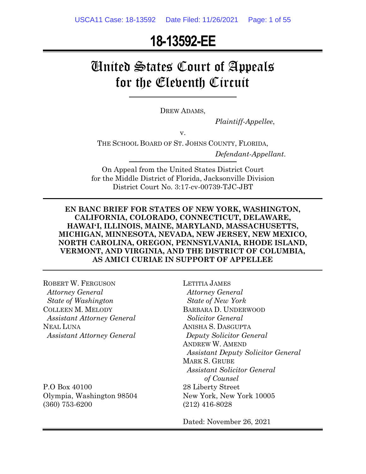# **18-13592-EE**

# United States Court of Appeals for the Eleventh Circuit

DREW ADAMS,

*Plaintiff-Appellee*,

v.

THE SCHOOL BOARD OF ST. JOHNS COUNTY, FLORIDA,

*Defendant-Appellant*.

On Appeal from the United States District Court for the Middle District of Florida, Jacksonville Division District Court No. 3:17-cv-00739-TJC-JBT

#### **EN BANC BRIEF FOR STATES OF NEW YORK, WASHINGTON, CALIFORNIA, COLORADO, CONNECTICUT, DELAWARE, HAWAIʻI, ILLINOIS, MAINE, MARYLAND, MASSACHUSETTS, MICHIGAN, MINNESOTA, NEVADA, NEW JERSEY, NEW MEXICO, NORTH CAROLINA, OREGON, PENNSYLVANIA, RHODE ISLAND, VERMONT, AND VIRGINIA, AND THE DISTRICT OF COLUMBIA, AS AMICI CURIAE IN SUPPORT OF APPELLEE**

ROBERT W. FERGUSON  *Attorney General State of Washington* COLLEEN M. MELODY *Assistant Attorney General* NEAL LUNA *Assistant Attorney General*

P.O Box 40100 Olympia, Washington 98504 (360) 753-6200

LETITIA JAMES  *Attorney General State of New York* BARBARA D. UNDERWOOD  *Solicitor General* ANISHA S. DASGUPTA *Deputy Solicitor General* ANDREW W. AMEND *Assistant Deputy Solicitor General* MARK S. GRUBE *Assistant Solicitor General of Counsel* 28 Liberty Street New York, New York 10005 (212) 416-8028

Dated: November 26, 2021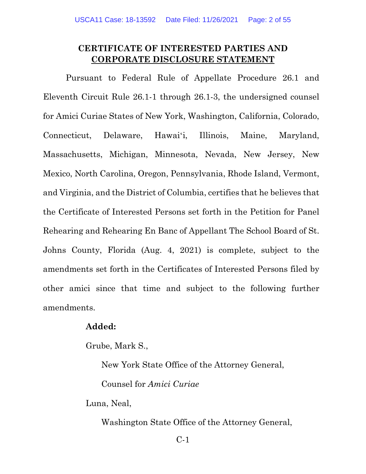#### **CERTIFICATE OF INTERESTED PARTIES AND CORPORATE DISCLOSURE STATEMENT**

Pursuant to Federal Rule of Appellate Procedure 26.1 and Eleventh Circuit Rule 26.1-1 through 26.1-3, the undersigned counsel for Amici Curiae States of New York, Washington, California, Colorado, Connecticut, Delaware, Hawaiʻi, Illinois, Maine, Maryland, Massachusetts, Michigan, Minnesota, Nevada, New Jersey, New Mexico, North Carolina, Oregon, Pennsylvania, Rhode Island, Vermont, and Virginia, and the District of Columbia, certifies that he believes that the Certificate of Interested Persons set forth in the Petition for Panel Rehearing and Rehearing En Banc of Appellant The School Board of St. Johns County, Florida (Aug. 4, 2021) is complete, subject to the amendments set forth in the Certificates of Interested Persons filed by other amici since that time and subject to the following further amendments.

#### **Added:**

Grube, Mark S.,

New York State Office of the Attorney General,

Counsel for *Amici Curiae*

Luna, Neal,

Washington State Office of the Attorney General,

C-1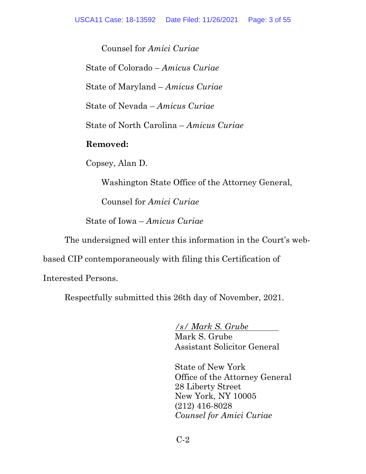Counsel for *Amici Curiae*

State of Colorado – *Amicus Curiae*

State of Maryland – *Amicus Curiae*

State of Nevada – *Amicus Curiae*

State of North Carolina – *Amicus Curiae*

#### **Removed:**

Copsey, Alan D.

Washington State Office of the Attorney General,

Counsel for *Amici Curiae*

State of Iowa – *Amicus Curiae*

The undersigned will enter this information in the Court's web-

based CIP contemporaneously with filing this Certification of

Interested Persons.

Respectfully submitted this 26th day of November, 2021.

*/s/ Mark S. Grube* . Mark S. Grube Assistant Solicitor General

State of New York Office of the Attorney General 28 Liberty Street New York, NY 10005 (212) 416-8028 *Counsel for Amici Curiae*

C-2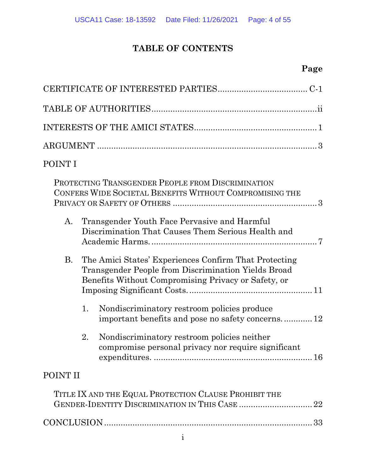## **TABLE OF CONTENTS**

## **Page**

| POINT I                                                                                                                                                                   |
|---------------------------------------------------------------------------------------------------------------------------------------------------------------------------|
| PROTECTING TRANSGENDER PEOPLE FROM DISCRIMINATION<br>CONFERS WIDE SOCIETAL BENEFITS WITHOUT COMPROMISING THE                                                              |
| Transgender Youth Face Pervasive and Harmful<br>А.<br>Discrimination That Causes Them Serious Health and                                                                  |
| The Amici States' Experiences Confirm That Protecting<br>B.<br>Transgender People from Discrimination Yields Broad<br>Benefits Without Compromising Privacy or Safety, or |
| Nondiscriminatory restroom policies produce<br>1.<br>important benefits and pose no safety concerns 12                                                                    |
| 2.<br>Nondiscriminatory restroom policies neither<br>compromise personal privacy nor require significant                                                                  |
| POINT II                                                                                                                                                                  |
| TITLE IX AND THE EQUAL PROTECTION CLAUSE PROHIBIT THE                                                                                                                     |
|                                                                                                                                                                           |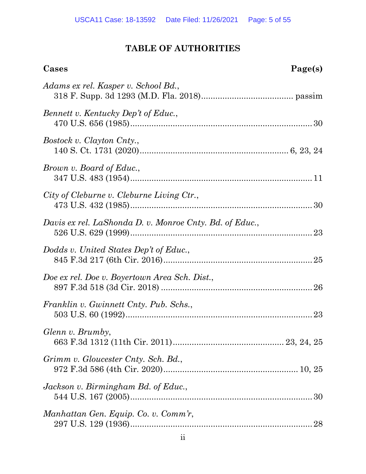## **TABLE OF AUTHORITIES**

| Cases                                                   | Page(s) |
|---------------------------------------------------------|---------|
| Adams ex rel. Kasper v. School Bd.,                     |         |
| Bennett v. Kentucky Dep't of Educ.,                     |         |
| Bostock v. Clayton Cnty.,                               |         |
| Brown v. Board of Educ.,                                |         |
| City of Cleburne v. Cleburne Living Ctr.,               |         |
| Davis ex rel. LaShonda D. v. Monroe Cnty. Bd. of Educ., |         |
| Dodds v. United States Dep't of Educ.,                  |         |
| Doe ex rel. Doe v. Boyertown Area Sch. Dist.,           |         |
| Franklin v. Gwinnett Cnty. Pub. Schs.,                  |         |
| Glenn v. Brumby,                                        |         |
| Grimm v. Gloucester Cnty. Sch. Bd.,                     |         |
| Jackson v. Birmingham Bd. of Educ.,                     |         |
| Manhattan Gen. Equip. Co. v. Comm'r,                    |         |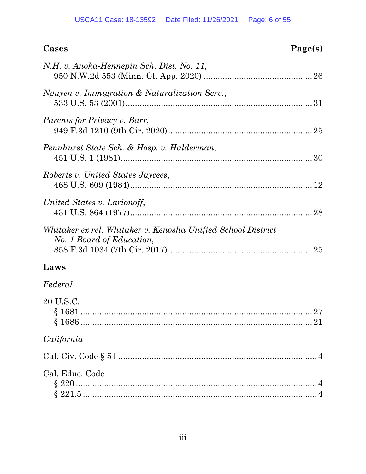| Cases<br>Page(s)                                                                          |
|-------------------------------------------------------------------------------------------|
| N.H. v. Anoka-Hennepin Sch. Dist. No. 11,                                                 |
| Nguyen v. Immigration & Naturalization Serv.,                                             |
| <i>Parents for Privacy v. Barr,</i>                                                       |
| Pennhurst State Sch. & Hosp. v. Halderman,                                                |
| Roberts v. United States Jaycees,                                                         |
| United States v. Larionoff,                                                               |
| Whitaker ex rel. Whitaker v. Kenosha Unified School District<br>No. 1 Board of Education, |
| Laws                                                                                      |
| Federal                                                                                   |
| 20 U.S.C.                                                                                 |
| California                                                                                |
|                                                                                           |
| Cal. Educ. Code                                                                           |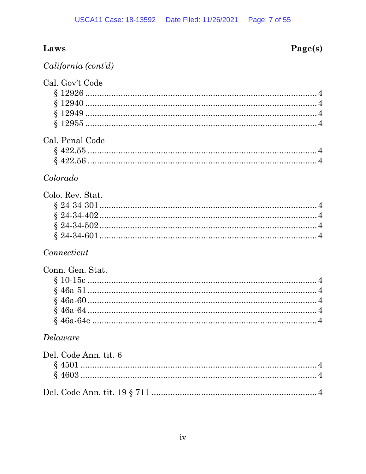## Laws

## Page(s)

|  | California (cont'd) |  |
|--|---------------------|--|
|  |                     |  |

| Cal. Gov't Code  |  |
|------------------|--|
|                  |  |
|                  |  |
|                  |  |
|                  |  |
| Cal. Penal Code  |  |
|                  |  |
|                  |  |
| Colorado         |  |
| Colo. Rev. Stat. |  |
|                  |  |
|                  |  |
|                  |  |
|                  |  |
| Connecticut      |  |
| Conn. Gen. Stat. |  |
|                  |  |
|                  |  |
|                  |  |
|                  |  |
|                  |  |

## $Delaw are$

| Del. Code Ann. tit. 6 |  |
|-----------------------|--|
|                       |  |
|                       |  |
|                       |  |
|                       |  |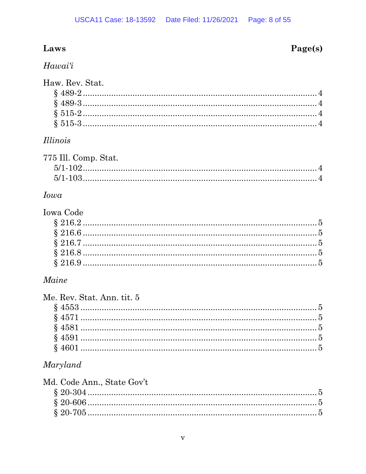## Laws

#### Hawai'i

#### Haw, Rev. Stat.

#### *Illinois*

| 775 Ill. Comp. Stat. |  |
|----------------------|--|
|                      |  |
|                      |  |
|                      |  |

#### *Iowa*

# **Iowa Code**

#### Maine

| Me. Rev. Stat. Ann. tit. 5 |  |
|----------------------------|--|
|                            |  |
|                            |  |
|                            |  |
|                            |  |
|                            |  |
|                            |  |

#### Maryland

| Md. Code Ann., State Gov't |  |
|----------------------------|--|
|                            |  |
|                            |  |
|                            |  |

## Page(s)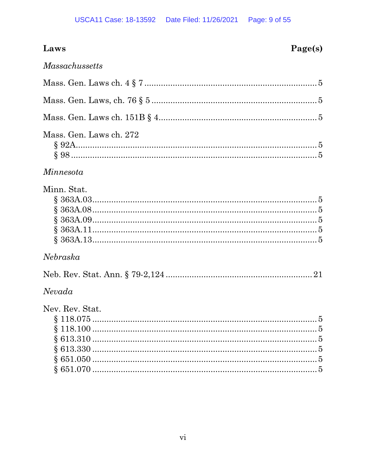| Laws                    | Page(s) |
|-------------------------|---------|
| <i>Massachussetts</i>   |         |
|                         |         |
|                         |         |
|                         |         |
| Mass. Gen. Laws ch. 272 |         |
| Minnesota               |         |
| Minn. Stat.             |         |
| Nebraska                |         |
|                         |         |
| Nevada                  |         |
| Nev. Rev. Stat.         |         |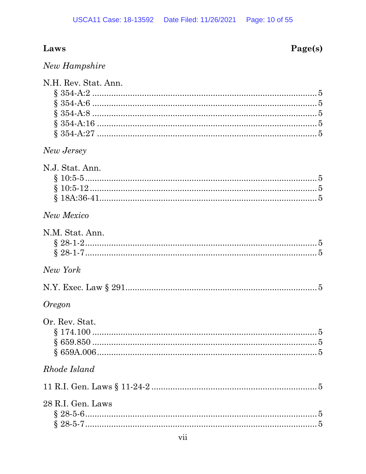# Laws

# Page(s)

| New Hampshire |  |
|---------------|--|
|               |  |
|               |  |

| N.H. Rev. Stat. Ann. |  |
|----------------------|--|
|                      |  |
|                      |  |
|                      |  |
|                      |  |
|                      |  |
| New Jersey           |  |
| N.J. Stat. Ann.      |  |
|                      |  |
|                      |  |
|                      |  |
|                      |  |
| New Mexico           |  |
| N.M. Stat. Ann.      |  |
|                      |  |
|                      |  |
|                      |  |
| New York             |  |
|                      |  |
| <i>Oregon</i>        |  |
| Or. Rev. Stat.       |  |
|                      |  |
|                      |  |
|                      |  |
| Rhode Island         |  |
|                      |  |
|                      |  |
| 28 R.I. Gen. Laws    |  |
|                      |  |
|                      |  |
|                      |  |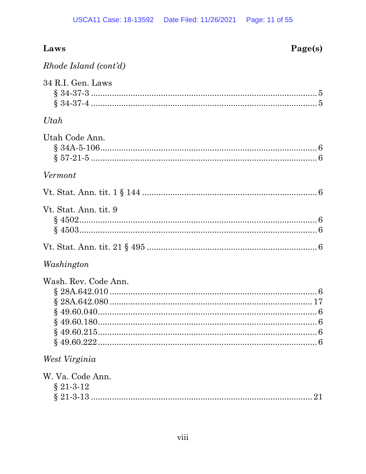| Laws<br>Page(s)                    |
|------------------------------------|
| Rhode Island (cont'd)              |
| 34 R.I. Gen. Laws                  |
| Utah                               |
| Utah Code Ann.<br>$$34A-5-106$ 6   |
| Vermont                            |
|                                    |
| Vt. Stat. Ann. tit. 9              |
|                                    |
| Washington<br>Wash. Rev. Code Ann. |
| West Virginia                      |
| W. Va. Code Ann.<br>$§$ 21-3-12    |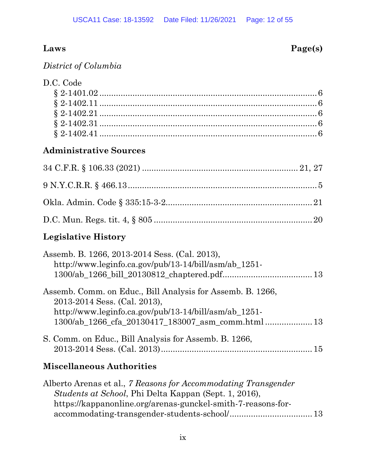## **Laws Page(s)**

*District of Columbia*

## **Administrative Sources**

## **Legislative History**

| Assemb. B. 1266, 2013-2014 Sess. (Cal. 2013),<br>http://www.leginfo.ca.gov/pub/13-14/bill/asm/ab 1251-                                              |  |
|-----------------------------------------------------------------------------------------------------------------------------------------------------|--|
| Assemb. Comm. on Educ., Bill Analysis for Assemb. B. 1266,<br>2013-2014 Sess. (Cal. 2013),<br>http://www.leginfo.ca.gov/pub/13-14/bill/asm/ab 1251- |  |
| S. Comm. on Educ., Bill Analysis for Assemb. B. 1266,                                                                                               |  |

## **Miscellaneous Authorities**

| Alberto Arenas et al., 7 Reasons for Accommodating Transgender |  |
|----------------------------------------------------------------|--|
| <i>Students at School</i> , Phi Delta Kappan (Sept. 1, 2016),  |  |
| https://kappanonline.org/arenas-gunckel-smith-7-reasons-for-   |  |
|                                                                |  |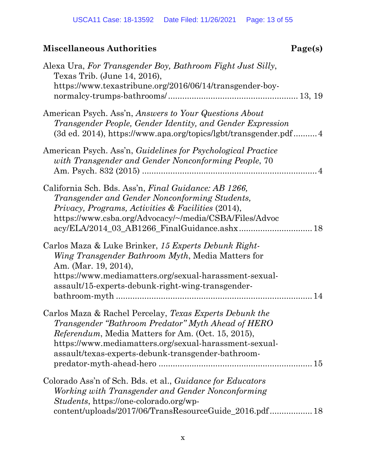| Alexa Ura, For Transgender Boy, Bathroom Fight Just Silly,<br>Texas Trib. (June 14, 2016),<br>https://www.texastribune.org/2016/06/14/transgender-boy-                                                                                                                                      |
|---------------------------------------------------------------------------------------------------------------------------------------------------------------------------------------------------------------------------------------------------------------------------------------------|
| American Psych. Ass'n, Answers to Your Questions About<br>Transgender People, Gender Identity, and Gender Expression<br>(3d ed. 2014), https://www.apa.org/topics/lgbt/transgender.pdf 4                                                                                                    |
| American Psych. Ass'n, Guidelines for Psychological Practice<br>with Transgender and Gender Nonconforming People, 70                                                                                                                                                                        |
| California Sch. Bds. Ass'n, Final Guidance: AB 1266,<br>Transgender and Gender Nonconforming Students,<br>Privacy, Programs, Activities & Facilities (2014),<br>https://www.csba.org/Advocacy/~/media/CSBA/Files/Advoc                                                                      |
| Carlos Maza & Luke Brinker, 15 Experts Debunk Right-<br>Wing Transgender Bathroom Myth, Media Matters for<br>Am. (Mar. 19, 2014),<br>https://www.mediamatters.org/sexual-harassment-sexual-<br>assault/15-experts-debunk-right-wing-transgender-                                            |
| Carlos Maza & Rachel Percelay, Texas Experts Debunk the<br>Transgender "Bathroom Predator" Myth Ahead of HERO<br><i>Referendum</i> , Media Matters for Am. (Oct. 15, 2015),<br>https://www.mediamatters.org/sexual-harassment-sexual-<br>assault/texas-experts-debunk-transgender-bathroom- |
| Colorado Ass'n of Sch. Bds. et al., Guidance for Educators<br>Working with Transgender and Gender Nonconforming<br>Students, https://one-colorado.org/wp-<br>content/uploads/2017/06/TransResourceGuide_2016.pdf 18                                                                         |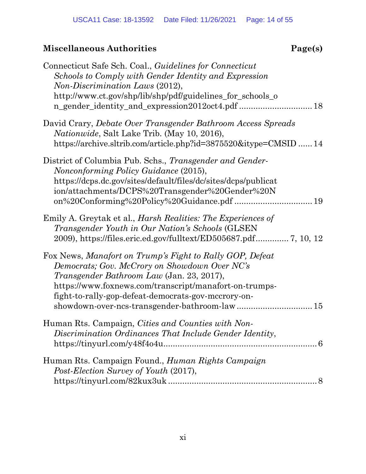| Connecticut Safe Sch. Coal., Guidelines for Connecticut<br>Schools to Comply with Gender Identity and Expression<br>Non-Discrimination Laws (2012),<br>http://www.ct.gov/shp/lib/shp/pdf/guidelines_for_schools_o                                                              |
|--------------------------------------------------------------------------------------------------------------------------------------------------------------------------------------------------------------------------------------------------------------------------------|
| David Crary, <i>Debate Over Transgender Bathroom Access Spreads</i><br><i>Nationwide</i> , Salt Lake Trib. (May 10, 2016),<br>https://archive.sltrib.com/article.php?id=3875520&itype=CMSID  14                                                                                |
| District of Columbia Pub. Schs., Transgender and Gender-<br>Nonconforming Policy Guidance (2015),<br>https://dcps.dc.gov/sites/default/files/dc/sites/dcps/publicat<br>ion/attachments/DCPS%20Transgender%20Gender%20N                                                         |
| Emily A. Greytak et al., <i>Harsh Realities: The Experiences of</i><br>Transgender Youth in Our Nation's Schools (GLSEN)                                                                                                                                                       |
| Fox News, Manafort on Trump's Fight to Rally GOP, Defeat<br>Democrats; Gov. McCrory on Showdown Over NC's<br><i>Transgender Bathroom Law</i> (Jan. 23, 2017),<br>https://www.foxnews.com/transcript/manafort-on-trumps-<br>fight-to-rally-gop-defeat-democrats-gov-mccrory-on- |
| Human Rts. Campaign, Cities and Counties with Non-<br>Discrimination Ordinances That Include Gender Identity,                                                                                                                                                                  |
| Human Rts. Campaign Found., Human Rights Campaign<br>Post-Election Survey of Youth (2017),                                                                                                                                                                                     |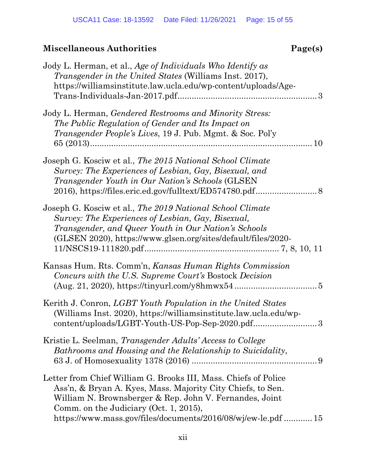| Jody L. Herman, et al., Age of Individuals Who Identify as<br><i>Transgender in the United States</i> (Williams Inst. 2017),<br>https://williamsinstitute.law.ucla.edu/wp-content/uploads/Age-<br>$Trans-Individuals-Jan-2017.pdf$                                                                   |
|------------------------------------------------------------------------------------------------------------------------------------------------------------------------------------------------------------------------------------------------------------------------------------------------------|
| Jody L. Herman, <i>Gendered Restrooms and Minority Stress:</i><br>The Public Regulation of Gender and Its Impact on<br><i>Transgender People's Lives, 19 J. Pub. Mgmt. &amp; Soc. Pol'y</i><br>10                                                                                                    |
| Joseph G. Kosciw et al., The 2015 National School Climate<br>Survey: The Experiences of Lesbian, Gay, Bisexual, and<br><i>Transgender Youth in Our Nation's Schools</i> (GLSEN)                                                                                                                      |
| Joseph G. Kosciw et al., The 2019 National School Climate<br>Survey: The Experiences of Lesbian, Gay, Bisexual,<br>Transgender, and Queer Youth in Our Nation's Schools<br>(GLSEN 2020), https://www.glsen.org/sites/default/files/2020-                                                             |
| Kansas Hum. Rts. Comm'n, Kansas Human Rights Commission<br>Concurs with the U.S. Supreme Court's Bostock Decision                                                                                                                                                                                    |
| Kerith J. Conron, LGBT Youth Population in the United States<br>(Williams Inst. 2020), https://williamsinstitute.law.ucla.edu/wp-<br>content/uploads/LGBT-Youth-US-Pop-Sep-2020.pdf3                                                                                                                 |
| Kristie L. Seelman, Transgender Adults' Access to College<br>Bathrooms and Housing and the Relationship to Suicidality,                                                                                                                                                                              |
| Letter from Chief William G. Brooks III, Mass. Chiefs of Police<br>Ass'n, & Bryan A. Kyes, Mass. Majority City Chiefs, to Sen.<br>William N. Brownsberger & Rep. John V. Fernandes, Joint<br>Comm. on the Judiciary (Oct. 1, 2015),<br>https://www.mass.gov/files/documents/2016/08/wj/ew-le.pdf  15 |
|                                                                                                                                                                                                                                                                                                      |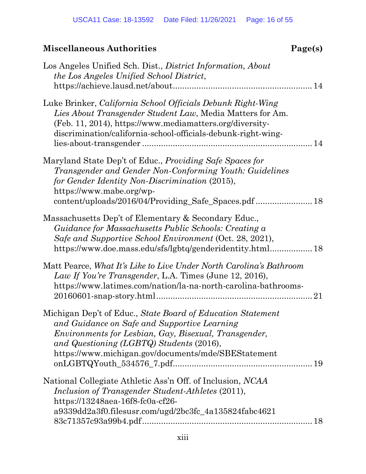| Los Angeles Unified Sch. Dist., District Information, About<br>the Los Angeles Unified School District,                                                                                                                                                                        |
|--------------------------------------------------------------------------------------------------------------------------------------------------------------------------------------------------------------------------------------------------------------------------------|
| Luke Brinker, California School Officials Debunk Right-Wing<br>Lies About Transgender Student Law, Media Matters for Am.<br>(Feb. 11, 2014), https://www.mediamatters.org/diversity-<br>discrimination/california-school-officials-debunk-right-wing-                          |
| Maryland State Dep't of Educ., <i>Providing Safe Spaces for</i><br>Transgender and Gender Non-Conforming Youth: Guidelines<br>for Gender Identity Non-Discrimination (2015),<br>https://www.mabe.org/wp-                                                                       |
| Massachusetts Dep't of Elementary & Secondary Educ.,<br>Guidance for Massachusetts Public Schools: Creating a<br>Safe and Supportive School Environment (Oct. 28, 2021),<br>https://www.doe.mass.edu/sfs/lgbtq/genderidentity.html 18                                          |
| Matt Pearce, What It's Like to Live Under North Carolina's Bathroom<br>Law If You're Transgender, L.A. Times (June 12, 2016),<br>https://www.latimes.com/nation/la-na-north-carolina-bathrooms-<br>21                                                                          |
| Michigan Dep't of Educ., State Board of Education Statement<br>and Guidance on Safe and Supportive Learning<br><i>Environments for Lesbian, Gay, Bisexual, Transgender,</i><br>and Questioning (LGBTQ) Students (2016),<br>https://www.michigan.gov/documents/mde/SBEStatement |
| National Collegiate Athletic Ass'n Off. of Inclusion, NCAA<br>Inclusion of Transgender Student-Athletes (2011),<br>https://13248aea-16f8-fc0a-cf26-<br>a9339dd2a3f0.filesusr.com/ugd/2bc3fc_4a135824fabc4621                                                                   |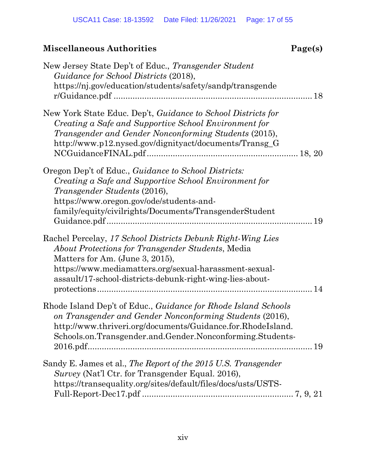| New Jersey State Dep't of Educ., Transgender Student<br>Guidance for School Districts (2018),<br>https://nj.gov/education/students/safety/sandp/transgende                                                                                                                        |
|-----------------------------------------------------------------------------------------------------------------------------------------------------------------------------------------------------------------------------------------------------------------------------------|
| New York State Educ. Dep't, Guidance to School Districts for<br>Creating a Safe and Supportive School Environment for<br>Transgender and Gender Nonconforming Students (2015),<br>http://www.p12.nysed.gov/dignityact/documents/Transg_G                                          |
| Oregon Dep't of Educ., Guidance to School Districts:<br>Creating a Safe and Supportive School Environment for<br>Transgender Students (2016),<br>https://www.oregon.gov/ode/students-and-<br>family/equity/civilrights/Documents/TransgenderStudent<br>19                         |
| Rachel Percelay, 17 School Districts Debunk Right-Wing Lies<br><i>About Protections for Transgender Students, Media</i><br>Matters for Am. (June 3, 2015),<br>https://www.mediamatters.org/sexual-harassment-sexual-<br>assault/17-school-districts-debunk-right-wing-lies-about- |
| Rhode Island Dep't of Educ., <i>Guidance for Rhode Island Schools</i><br>on Transgender and Gender Nonconforming Students (2016),<br>http://www.thriveri.org/documents/Guidance.for.RhodeIsland.<br>Schools.on.Transgender.and.Gender.Nonconforming.Students-                     |
| Sandy E. James et al., The Report of the 2015 U.S. Transgender<br>Survey (Nat'l Ctr. for Transgender Equal. 2016),<br>https://transequality.org/sites/default/files/docs/usts/USTS-                                                                                               |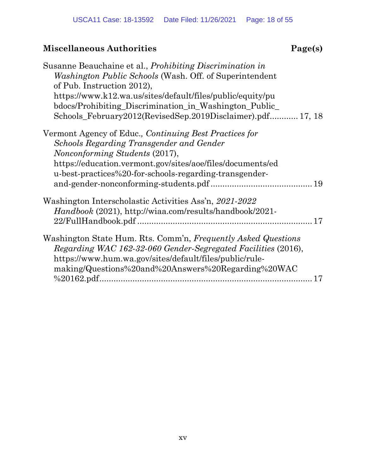| Susanne Beauchaine et al., <i>Prohibiting Discrimination in</i><br><i>Washington Public Schools</i> (Wash. Off. of Superintendent<br>of Pub. Instruction 2012),<br>https://www.k12.wa.us/sites/default/files/public/equity/pu<br>bdocs/Prohibiting_Discrimination_in_Washington_Public_<br>Schools_February2012(RevisedSep.2019Disclaimer).pdf 17, 18 |
|-------------------------------------------------------------------------------------------------------------------------------------------------------------------------------------------------------------------------------------------------------------------------------------------------------------------------------------------------------|
| Vermont Agency of Educ., Continuing Best Practices for<br>Schools Regarding Transgender and Gender<br><i>Nonconforming Students (2017),</i><br>https://education.vermont.gov/sites/aoe/files/documents/ed<br>u-best-practices%20-for-schools-regarding-transgender-                                                                                   |
| Washington Interscholastic Activities Ass'n, 2021-2022<br><i>Handbook</i> (2021), http://wiaa.com/results/handbook/2021-<br>17                                                                                                                                                                                                                        |
| Washington State Hum. Rts. Comm'n, Frequently Asked Questions<br>Regarding WAC 162-32-060 Gender-Segregated Facilities (2016),<br>https://www.hum.wa.gov/sites/default/files/public/rule-<br>making/Questions%20and%20Answers%20Regarding%20WAC<br>17                                                                                                 |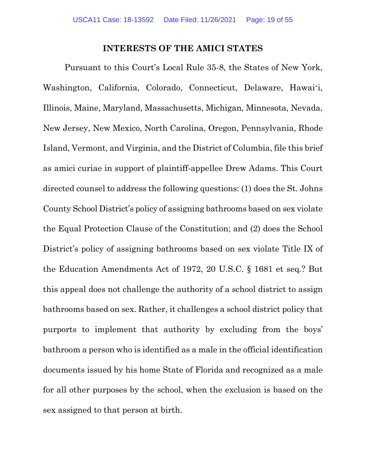#### **INTERESTS OF THE AMICI STATES**

<span id="page-18-0"></span>Pursuant to this Court's Local Rule 35-8, the States of New York, Washington, California, Colorado, Connecticut, Delaware, Hawaiʻi, Illinois, Maine, Maryland, Massachusetts, Michigan, Minnesota, Nevada, New Jersey, New Mexico, North Carolina, Oregon, Pennsylvania, Rhode Island, Vermont, and Virginia, and the District of Columbia, file this brief as amici curiae in support of plaintiff-appellee Drew Adams. This Court directed counsel to address the following questions: (1) does the St. Johns County School District's policy of assigning bathrooms based on sex violate the Equal Protection Clause of the Constitution; and (2) does the School District's policy of assigning bathrooms based on sex violate Title IX of the Education Amendments Act of 1972, 20 U.S.C. § 1681 et seq.? But this appeal does not challenge the authority of a school district to assign bathrooms based on sex. Rather, it challenges a school district policy that purports to implement that authority by excluding from the boys' bathroom a person who is identified as a male in the official identification documents issued by his home State of Florida and recognized as a male for all other purposes by the school, when the exclusion is based on the sex assigned to that person at birth.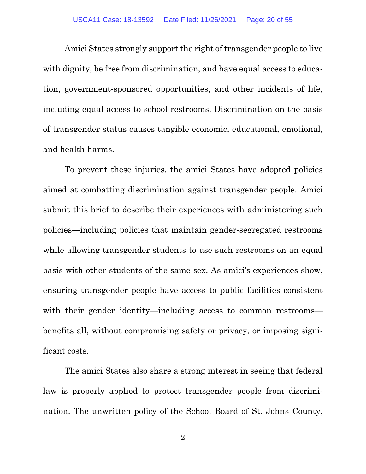Amici States strongly support the right of transgender people to live with dignity, be free from discrimination, and have equal access to education, government-sponsored opportunities, and other incidents of life, including equal access to school restrooms. Discrimination on the basis of transgender status causes tangible economic, educational, emotional, and health harms.

To prevent these injuries, the amici States have adopted policies aimed at combatting discrimination against transgender people. Amici submit this brief to describe their experiences with administering such policies—including policies that maintain gender-segregated restrooms while allowing transgender students to use such restrooms on an equal basis with other students of the same sex. As amici's experiences show, ensuring transgender people have access to public facilities consistent with their gender identity—including access to common restrooms benefits all, without compromising safety or privacy, or imposing significant costs.

The amici States also share a strong interest in seeing that federal law is properly applied to protect transgender people from discrimination. The unwritten policy of the School Board of St. Johns County,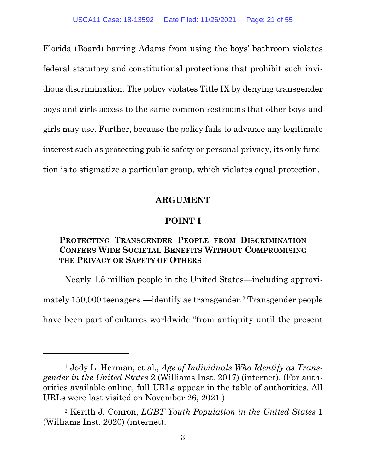Florida (Board) barring Adams from using the boys' bathroom violates federal statutory and constitutional protections that prohibit such invidious discrimination. The policy violates Title IX by denying transgender boys and girls access to the same common restrooms that other boys and girls may use. Further, because the policy fails to advance any legitimate interest such as protecting public safety or personal privacy, its only function is to stigmatize a particular group, which violates equal protection.

#### **ARGUMENT**

#### **POINT I**

#### <span id="page-20-2"></span><span id="page-20-1"></span><span id="page-20-0"></span>**PROTECTING TRANSGENDER PEOPLE FROM DISCRIMINATION CONFERS WIDE SOCIETAL BENEFITS WITHOUT COMPROMISING THE PRIVACY OR SAFETY OF OTHERS**

Nearly 1.5 million people in the United States—including approxi-

mately 150,000 teenagers<sup>1</sup>—identify as transgender.<sup>2</sup> Transgender people

have been part of cultures worldwide "from antiquity until the present

<span id="page-20-3"></span><sup>1</sup> Jody L. Herman, et al., *Age of Individuals Who Identify as Transgender in the United States* 2 (Williams Inst. 2017) (internet). (For authorities available online, full URLs appear in the table of authorities. All URLs were last visited on November 26, 2021.)

<span id="page-20-4"></span><sup>2</sup> Kerith J. Conron, *LGBT Youth Population in the United States* 1 (Williams Inst. 2020) (internet).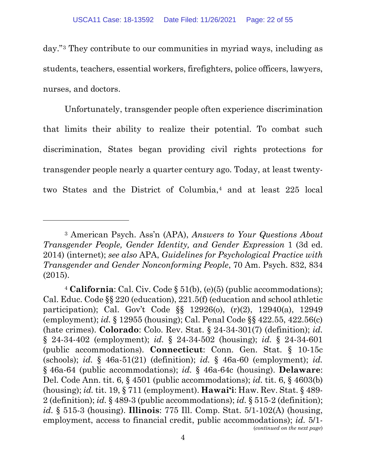day."[3](#page-21-0) They contribute to our communities in myriad ways, including as students, teachers, essential workers, firefighters, police officers, lawyers, nurses, and doctors.

Unfortunately, transgender people often experience discrimination that limits their ability to realize their potential. To combat such discrimination, States began providing civil rights protections for transgender people nearly a quarter century ago. Today, at least twentytwo States and the District of Columbia,[4](#page-21-1) and at least 225 local

<span id="page-21-0"></span><sup>3</sup> American Psych. Ass'n (APA), *Answers to Your Questions About Transgender People, Gender Identity, and Gender Expression* 1 (3d ed. 2014) (internet); *see also* APA, *Guidelines for Psychological Practice with Transgender and Gender Nonconforming People*, 70 Am. Psych. 832, 834 (2015).

<span id="page-21-1"></span><sup>4</sup> **California**: Cal. Civ. Code § 51(b), (e)(5) (public accommodations); Cal. Educ. Code §§ 220 (education), 221.5(f) (education and school athletic participation); Cal. Gov't Code §§ 12926(o), (r)(2), 12940(a), 12949 (employment); *id.* § 12955 (housing); Cal. Penal Code §§ 422.55, 422.56(c) (hate crimes). **Colorado**: Colo. Rev. Stat. § 24-34-301(7) (definition); *id.*  § 24-34-402 (employment); *id.* § 24-34-502 (housing); *id.* § 24-34-601 (public accommodations). **Connecticut**: Conn. Gen. Stat. § 10-15c (schools); *id.* § 46a-51(21) (definition); *id.* § 46a-60 (employment); *id.*  § 46a-64 (public accommodations); *id.* § 46a-64c (housing). **Delaware**: Del. Code Ann. tit. 6, § 4501 (public accommodations); *id.* tit. 6, § 4603(b) (housing); *id.* tit. 19, § 711 (employment). **Hawai'i**: Haw. Rev. Stat. § 489- 2 (definition); *id.* § 489-3 (public accommodations); *id.* § 515-2 (definition); *id.* § 515-3 (housing). **Illinois**: 775 Ill. Comp. Stat. 5/1-102(A) (housing, employment, access to financial credit, public accommodations); *id.* 5/1- (*continued on the next page*)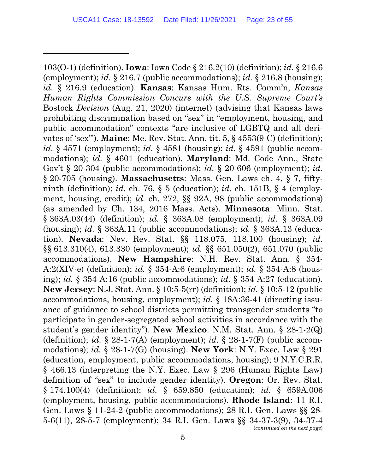103(O-1) (definition). **Iowa**: Iowa Code § 216.2(10) (definition); *id.* § 216.6 (employment); *id.* § 216.7 (public accommodations); *id.* § 216.8 (housing); *id.* § 216.9 (education). **Kansas**: Kansas Hum. Rts. Comm'n, *Kansas Human Rights Commission Concurs with the U.S. Supreme Court's*  Bostock *Decision* (Aug. 21, 2020) (internet) (advising that Kansas laws prohibiting discrimination based on "sex" in "employment, housing, and public accommodation" contexts "are inclusive of LGBTQ and all derivates of 'sex'"). **Maine**: Me. Rev. Stat. Ann. tit. 5, § 4553(9-C) (definition); *id.* § 4571 (employment); *id.* § 4581 (housing); *id.* § 4591 (public accommodations); *id.* § 4601 (education). **Maryland**: Md. Code Ann., State Gov't § 20-304 (public accommodations); *id.* § 20-606 (employment); *id.* § 20-705 (housing). **Massachusetts**: Mass. Gen. Laws ch. 4, § 7, fiftyninth (definition); *id.* ch. 76, § 5 (education); *id.* ch. 151B, § 4 (employment, housing, credit); *id.* ch. 272, §§ 92A, 98 (public accommodations) (as amended by Ch. 134, 2016 Mass. Acts). **Minnesota**: Minn. Stat. § 363A.03(44) (definition); *id.* § 363A.08 (employment); *id.* § 363A.09 (housing); *id.* § 363A.11 (public accommodations); *id.* § 363A.13 (education). **Nevada**: Nev. Rev. Stat. §§ 118.075, 118.100 (housing); *id.* §§ 613.310(4), 613.330 (employment); *id.* §§ 651.050(2), 651.070 (public accommodations). **New Hampshire**: N.H. Rev. Stat. Ann. § 354- A:2(XIV-e) (definition); *id.* § 354-A:6 (employment); *id.* § 354-A:8 (housing); *id.* § 354-A:16 (public accommodations); *id.* § 354-A:27 (education). **New Jersey**: N.J. Stat. Ann. § 10:5-5(rr) (definition); *id.* § 10:5-12 (public accommodations, housing, employment); *id.* § 18A:36-41 (directing issuance of guidance to school districts permitting transgender students "to participate in gender-segregated school activities in accordance with the student's gender identity"). **New Mexico**: N.M. Stat. Ann. § 28-1-2(Q) (definition); *id.* § 28-1-7(A) (employment); *id.* § 28-1-7(F) (public accommodations); *id.* § 28-1-7(G) (housing). **New York**: N.Y. Exec. Law § 291 (education, employment, public accommodations, housing); 9 N.Y.C.R.R. § 466.13 (interpreting the N.Y. Exec. Law § 296 (Human Rights Law) definition of "sex" to include gender identity). **Oregon**: Or. Rev. Stat. § 174.100(4) (definition); *id.* § 659.850 (education); *id.* § 659A.006 (employment, housing, public accommodations). **Rhode Island**: 11 R.I. Gen. Laws § 11-24-2 (public accommodations); 28 R.I. Gen. Laws §§ 28- 5-6(11), 28-5-7 (employment); 34 R.I. Gen. Laws §§ 34-37-3(9), 34-37-4 (*continued on the next page*)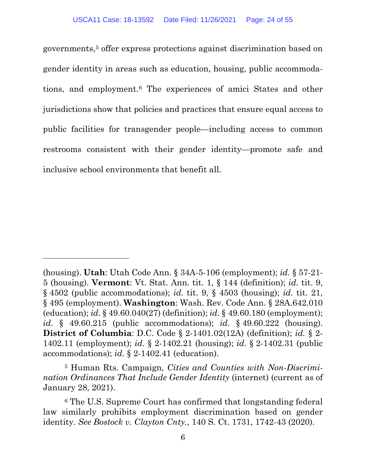governments,[5](#page-23-0) offer express protections against discrimination based on gender identity in areas such as education, housing, public accommodations, and employment.[6](#page-23-1) The experiences of amici States and other jurisdictions show that policies and practices that ensure equal access to public facilities for transgender people—including access to common restrooms consistent with their gender identity—promote safe and inclusive school environments that benefit all.

<span id="page-23-0"></span><sup>5</sup> Human Rts. Campaign, *Cities and Counties with Non-Discrimination Ordinances That Include Gender Identity* (internet) (current as of January 28, 2021).

<sup>(</sup>housing). **Utah**: Utah Code Ann. § 34A-5-106 (employment); *id.* § 57-21- 5 (housing). **Vermont**: Vt. Stat. Ann. tit. 1, § 144 (definition); *id.* tit. 9, § 4502 (public accommodations); *id.* tit. 9, § 4503 (housing); *id.* tit. 21, § 495 (employment). **Washington**: Wash. Rev. Code Ann. § 28A.642.010 (education); *id.* § 49.60.040(27) (definition); *id.* § 49.60.180 (employment); *id.* § 49.60.215 (public accommodations); *id.* § 49.60.222 (housing). **District of Columbia**: D.C. Code § 2-1401.02(12A) (definition); *id.* § 2- 1402.11 (employment); *id.* § 2-1402.21 (housing); *id.* § 2-1402.31 (public accommodations); *id.* § 2-1402.41 (education).

<span id="page-23-1"></span><sup>6</sup> The U.S. Supreme Court has confirmed that longstanding federal law similarly prohibits employment discrimination based on gender identity. *See Bostock v. Clayton Cnty.*, 140 S. Ct. 1731, 1742-43 (2020).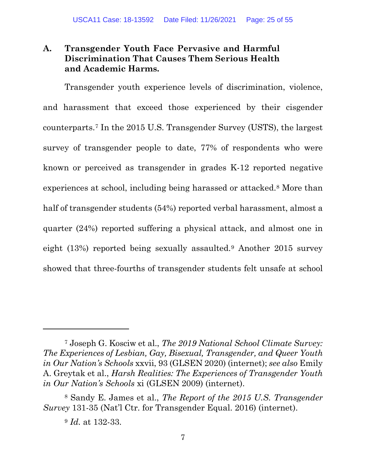#### <span id="page-24-0"></span>**A. Transgender Youth Face Pervasive and Harmful Discrimination That Causes Them Serious Health and Academic Harms.**

Transgender youth experience levels of discrimination, violence, and harassment that exceed those experienced by their cisgender counterparts.[7](#page-24-1) In the 2015 U.S. Transgender Survey (USTS), the largest survey of transgender people to date, 77% of respondents who were known or perceived as transgender in grades K-12 reported negative experiences at school, including being harassed or attacked[.8](#page-24-2) More than half of transgender students (54%) reported verbal harassment, almost a quarter (24%) reported suffering a physical attack, and almost one in eight (13%) reported being sexually assaulted.[9](#page-24-3) Another 2015 survey showed that three-fourths of transgender students felt unsafe at school

<span id="page-24-1"></span><sup>7</sup> Joseph G. Kosciw et al., *The 2019 National School Climate Survey: The Experiences of Lesbian, Gay, Bisexual, Transgender, and Queer Youth in Our Nation's Schools* xxvii, 93 (GLSEN 2020) (internet); *see also* Emily A. Greytak et al., *Harsh Realities: The Experiences of Transgender Youth in Our Nation's Schools* xi (GLSEN 2009) (internet).

<span id="page-24-3"></span><span id="page-24-2"></span><sup>8</sup> Sandy E. James et al., *The Report of the 2015 U.S. Transgender Survey* 131-35 (Nat'l Ctr. for Transgender Equal. 2016) (internet).

<sup>9</sup> *Id.* at 132-33.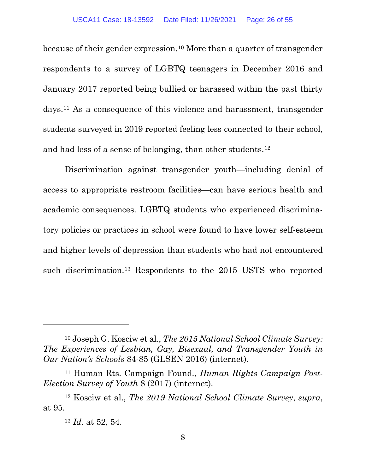because of their gender expression.[10](#page-25-0) More than a quarter of transgender respondents to a survey of LGBTQ teenagers in December 2016 and January 2017 reported being bullied or harassed within the past thirty days.[11](#page-25-1) As a consequence of this violence and harassment, transgender students surveyed in 2019 reported feeling less connected to their school, and had less of a sense of belonging, than other students.[12](#page-25-2)

Discrimination against transgender youth—including denial of access to appropriate restroom facilities—can have serious health and academic consequences. LGBTQ students who experienced discriminatory policies or practices in school were found to have lower self-esteem and higher levels of depression than students who had not encountered such discrimination.[13](#page-25-3) Respondents to the 2015 USTS who reported

<span id="page-25-0"></span><sup>10</sup> Joseph G. Kosciw et al., *The 2015 National School Climate Survey: The Experiences of Lesbian, Gay, Bisexual, and Transgender Youth in Our Nation's Schools* 84-85 (GLSEN 2016) (internet).

<span id="page-25-1"></span><sup>11</sup> Human Rts. Campaign Found., *Human Rights Campaign Post-Election Survey of Youth* 8 (2017) (internet).

<span id="page-25-3"></span><span id="page-25-2"></span><sup>12</sup> Kosciw et al., *The 2019 National School Climate Survey*, *supra*, at 95.

<sup>13</sup> *Id.* at 52, 54.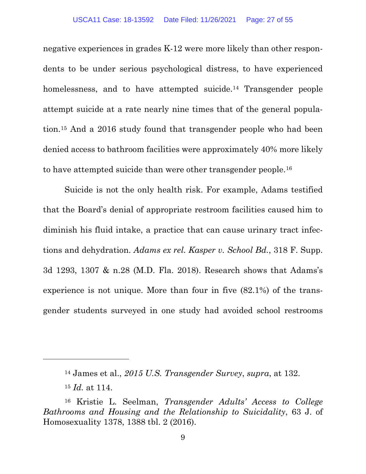negative experiences in grades K-12 were more likely than other respondents to be under serious psychological distress, to have experienced homelessness, and to have attempted suicide.<sup>[14](#page-26-0)</sup> Transgender people attempt suicide at a rate nearly nine times that of the general population.[15](#page-26-1) And a 2016 study found that transgender people who had been denied access to bathroom facilities were approximately 40% more likely to have attempted suicide than were other transgender people.[16](#page-26-2)

Suicide is not the only health risk. For example, Adams testified that the Board's denial of appropriate restroom facilities caused him to diminish his fluid intake, a practice that can cause urinary tract infections and dehydration. *Adams ex rel. Kasper v. School Bd.*, 318 F. Supp. 3d 1293, 1307 & n.28 (M.D. Fla. 2018). Research shows that Adams's experience is not unique. More than four in five (82.1%) of the transgender students surveyed in one study had avoided school restrooms

<sup>14</sup> James et al., *2015 U.S. Transgender Survey*, *supra*, at 132.

<sup>15</sup> *Id.* at 114.

<span id="page-26-2"></span><span id="page-26-1"></span><span id="page-26-0"></span><sup>16</sup> Kristie L. Seelman, *Transgender Adults' Access to College Bathrooms and Housing and the Relationship to Suicidality*, 63 J. of Homosexuality 1378, 1388 tbl. 2 (2016).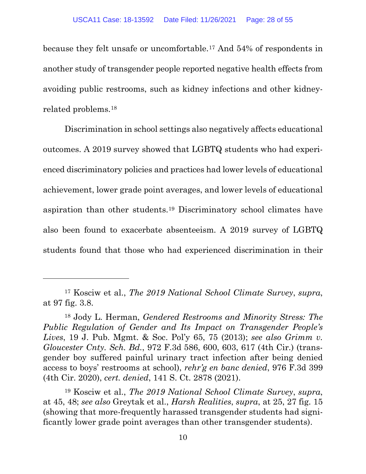because they felt unsafe or uncomfortable.[17](#page-27-0) And 54% of respondents in another study of transgender people reported negative health effects from avoiding public restrooms, such as kidney infections and other kidneyrelated problems.[18](#page-27-1)

Discrimination in school settings also negatively affects educational outcomes. A 2019 survey showed that LGBTQ students who had experienced discriminatory policies and practices had lower levels of educational achievement, lower grade point averages, and lower levels of educational aspiration than other students.[19](#page-27-2) Discriminatory school climates have also been found to exacerbate absenteeism. A 2019 survey of LGBTQ students found that those who had experienced discrimination in their

<span id="page-27-0"></span><sup>17</sup> Kosciw et al., *The 2019 National School Climate Survey*, *supra*, at 97 fig. 3.8.

<span id="page-27-1"></span><sup>18</sup> Jody L. Herman, *Gendered Restrooms and Minority Stress: The Public Regulation of Gender and Its Impact on Transgender People's Lives*, 19 J. Pub. Mgmt. & Soc. Pol'y 65, 75 (2013); *see also Grimm v. Gloucester Cnty. Sch. Bd.*, 972 F.3d 586, 600, 603, 617 (4th Cir.) (transgender boy suffered painful urinary tract infection after being denied access to boys' restrooms at school), *rehr'g en banc denied*, 976 F.3d 399 (4th Cir. 2020), *cert. denied*, 141 S. Ct. 2878 (2021).

<span id="page-27-2"></span><sup>19</sup> Kosciw et al., *The 2019 National School Climate Survey*, *supra*, at 45, 48; *see also* Greytak et al., *Harsh Realities*, *supra*, at 25, 27 fig. 15 (showing that more-frequently harassed transgender students had significantly lower grade point averages than other transgender students).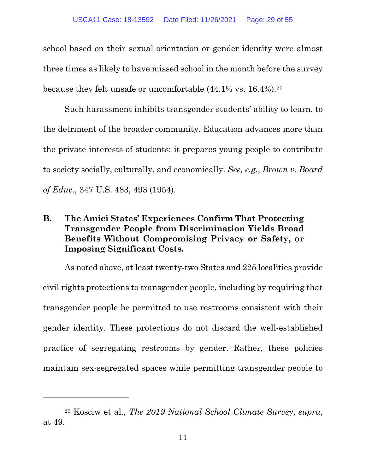school based on their sexual orientation or gender identity were almost three times as likely to have missed school in the month before the survey because they felt unsafe or uncomfortable (44.1% vs. 16.4%).[20](#page-28-1)

Such harassment inhibits transgender students' ability to learn, to the detriment of the broader community. Education advances more than the private interests of students: it prepares young people to contribute to society socially, culturally, and economically. *See, e.g.*, *Brown v. Board of Educ.*, 347 U.S. 483, 493 (1954).

#### <span id="page-28-0"></span>**B. The Amici States' Experiences Confirm That Protecting Transgender People from Discrimination Yields Broad Benefits Without Compromising Privacy or Safety, or Imposing Significant Costs.**

As noted above, at least twenty-two States and 225 localities provide civil rights protections to transgender people, including by requiring that transgender people be permitted to use restrooms consistent with their gender identity. These protections do not discard the well-established practice of segregating restrooms by gender. Rather, these policies maintain sex-segregated spaces while permitting transgender people to

<span id="page-28-1"></span><sup>20</sup> Kosciw et al., *The 2019 National School Climate Survey*, *supra*, at 49.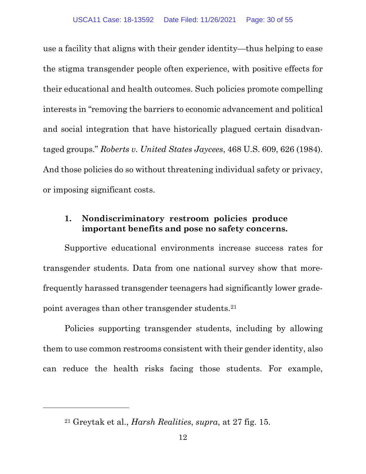use a facility that aligns with their gender identity—thus helping to ease the stigma transgender people often experience, with positive effects for their educational and health outcomes. Such policies promote compelling interests in "removing the barriers to economic advancement and political and social integration that have historically plagued certain disadvantaged groups." *Roberts v. United States Jaycees*, 468 U.S. 609, 626 (1984). And those policies do so without threatening individual safety or privacy, or imposing significant costs.

#### <span id="page-29-0"></span>**1. Nondiscriminatory restroom policies produce important benefits and pose no safety concerns.**

Supportive educational environments increase success rates for transgender students. Data from one national survey show that morefrequently harassed transgender teenagers had significantly lower gradepoint averages than other transgender students.[21](#page-29-1)

Policies supporting transgender students, including by allowing them to use common restrooms consistent with their gender identity, also can reduce the health risks facing those students. For example,

<span id="page-29-1"></span><sup>21</sup> Greytak et al., *Harsh Realities*, *supra*, at 27 fig. 15.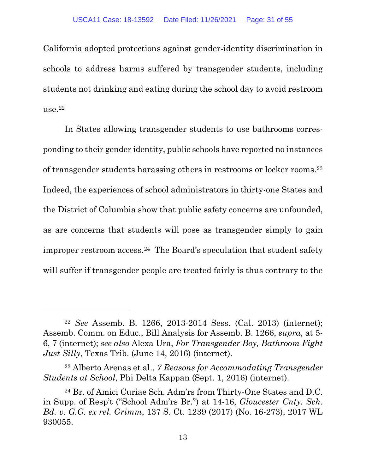California adopted protections against gender-identity discrimination in schools to address harms suffered by transgender students, including students not drinking and eating during the school day to avoid restroom  $use.22$  $use.22$ 

In States allowing transgender students to use bathrooms corresponding to their gender identity, public schools have reported no instances of transgender students harassing others in restrooms or locker rooms.[23](#page-30-1) Indeed, the experiences of school administrators in thirty-one States and the District of Columbia show that public safety concerns are unfounded, as are concerns that students will pose as transgender simply to gain improper restroom access.[24](#page-30-2) The Board's speculation that student safety will suffer if transgender people are treated fairly is thus contrary to the

<span id="page-30-0"></span><sup>22</sup> *See* Assemb. B. 1266, 2013-2014 Sess. (Cal. 2013) (internet); Assemb. Comm. on Educ., Bill Analysis for Assemb. B. 1266, *supra*, at 5- 6, 7 (internet); *see also* Alexa Ura, *For Transgender Boy, Bathroom Fight Just Silly*, Texas Trib. (June 14, 2016) (internet).

<span id="page-30-1"></span><sup>23</sup> Alberto Arenas et al., *7 Reasons for Accommodating Transgender Students at School*, Phi Delta Kappan (Sept. 1, 2016) (internet).

<span id="page-30-2"></span><sup>24</sup> Br. of Amici Curiae Sch. Adm'rs from Thirty-One States and D.C. in Supp. of Resp't ("School Adm'rs Br.") at 14-16, *Gloucester Cnty. Sch. Bd. v. G.G. ex rel. Grimm*, 137 S. Ct. 1239 (2017) (No. 16-273), 2017 WL 930055.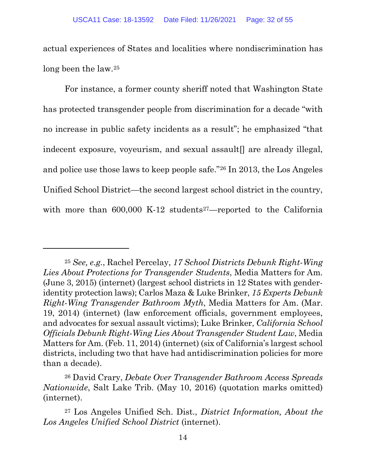actual experiences of States and localities where nondiscrimination has long been the law.[25](#page-31-0)

For instance, a former county sheriff noted that Washington State has protected transgender people from discrimination for a decade "with no increase in public safety incidents as a result"; he emphasized "that indecent exposure, voyeurism, and sexual assault<sup>[]</sup> are already illegal, and police use those laws to keep people safe."[26](#page-31-1) In 2013, the Los Angeles Unified School District—the second largest school district in the country, with more than  $600,000$  K-12 students<sup>27</sup>—reported to the California

<span id="page-31-0"></span><sup>25</sup> *See, e.g.*, Rachel Percelay, *17 School Districts Debunk Right-Wing Lies About Protections for Transgender Students*, Media Matters for Am. (June 3, 2015) (internet) (largest school districts in 12 States with genderidentity protection laws); Carlos Maza & Luke Brinker, *15 Experts Debunk Right-Wing Transgender Bathroom Myth*, Media Matters for Am. (Mar. 19, 2014) (internet) (law enforcement officials, government employees, and advocates for sexual assault victims); Luke Brinker, *California School Officials Debunk Right-Wing Lies About Transgender Student Law*, Media Matters for Am. (Feb. 11, 2014) (internet) (six of California's largest school districts, including two that have had antidiscrimination policies for more than a decade).

<span id="page-31-1"></span><sup>26</sup> David Crary, *Debate Over Transgender Bathroom Access Spreads Nationwide*, Salt Lake Trib. (May 10, 2016) (quotation marks omitted) (internet).

<span id="page-31-2"></span><sup>27</sup> Los Angeles Unified Sch. Dist., *District Information, About the Los Angeles Unified School District* (internet).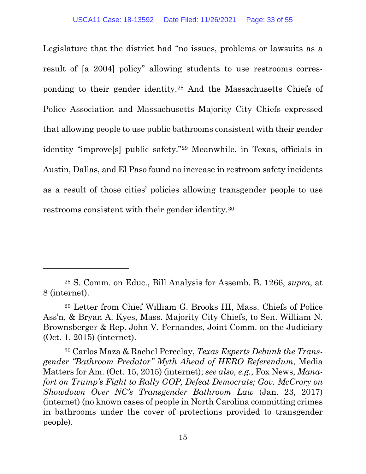Legislature that the district had "no issues, problems or lawsuits as a result of [a 2004] policy" allowing students to use restrooms corresponding to their gender identity.[28](#page-32-0) And the Massachusetts Chiefs of Police Association and Massachusetts Majority City Chiefs expressed that allowing people to use public bathrooms consistent with their gender identity "improve[s] public safety."[29](#page-32-1) Meanwhile, in Texas, officials in Austin, Dallas, and El Paso found no increase in restroom safety incidents as a result of those cities' policies allowing transgender people to use restrooms consistent with their gender identity.[30](#page-32-2)

<span id="page-32-0"></span><sup>28</sup> S. Comm. on Educ., Bill Analysis for Assemb. B. 1266, *supra*, at 8 (internet).

<span id="page-32-1"></span><sup>29</sup> Letter from Chief William G. Brooks III, Mass. Chiefs of Police Ass'n, & Bryan A. Kyes, Mass. Majority City Chiefs, to Sen. William N. Brownsberger & Rep. John V. Fernandes, Joint Comm. on the Judiciary (Oct. 1, 2015) (internet).

<span id="page-32-2"></span><sup>30</sup> Carlos Maza & Rachel Percelay, *Texas Experts Debunk the Transgender "Bathroom Predator" Myth Ahead of HERO Referendum*, Media Matters for Am. (Oct. 15, 2015) (internet); *see also, e.g.*, Fox News, *Manafort on Trump's Fight to Rally GOP, Defeat Democrats; Gov. McCrory on Showdown Over NC's Transgender Bathroom Law* (Jan. 23, 2017) (internet) (no known cases of people in North Carolina committing crimes in bathrooms under the cover of protections provided to transgender people).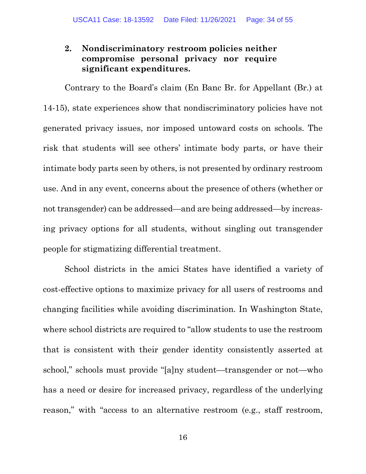#### <span id="page-33-0"></span>**2. Nondiscriminatory restroom policies neither compromise personal privacy nor require significant expenditures.**

Contrary to the Board's claim (En Banc Br. for Appellant (Br.) at 14-15), state experiences show that nondiscriminatory policies have not generated privacy issues, nor imposed untoward costs on schools. The risk that students will see others' intimate body parts, or have their intimate body parts seen by others, is not presented by ordinary restroom use. And in any event, concerns about the presence of others (whether or not transgender) can be addressed—and are being addressed—by increasing privacy options for all students, without singling out transgender people for stigmatizing differential treatment.

School districts in the amici States have identified a variety of cost-effective options to maximize privacy for all users of restrooms and changing facilities while avoiding discrimination. In Washington State, where school districts are required to "allow students to use the restroom that is consistent with their gender identity consistently asserted at school," schools must provide "[a]ny student—transgender or not—who has a need or desire for increased privacy, regardless of the underlying reason," with "access to an alternative restroom (e.g., staff restroom,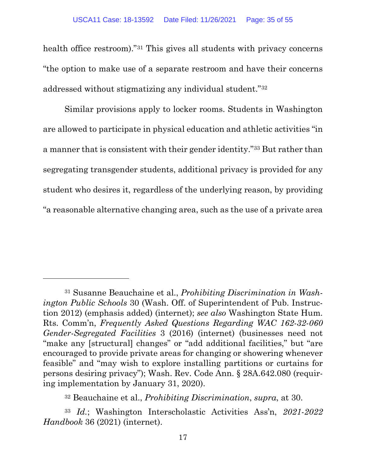health office restroom)."<sup>31</sup> This gives all students with privacy concerns "the option to make use of a separate restroom and have their concerns addressed without stigmatizing any individual student."[32](#page-34-1)

Similar provisions apply to locker rooms. Students in Washington are allowed to participate in physical education and athletic activities "in a manner that is consistent with their gender identity."[33](#page-34-2) But rather than segregating transgender students, additional privacy is provided for any student who desires it, regardless of the underlying reason, by providing "a reasonable alternative changing area, such as the use of a private area

<span id="page-34-0"></span><sup>31</sup> Susanne Beauchaine et al., *Prohibiting Discrimination in Washington Public Schools* 30 (Wash. Off. of Superintendent of Pub. Instruction 2012) (emphasis added) (internet); *see also* Washington State Hum. Rts. Comm'n, *Frequently Asked Questions Regarding WAC 162-32-060 Gender-Segregated Facilities* 3 (2016) (internet) (businesses need not "make any [structural] changes" or "add additional facilities," but "are encouraged to provide private areas for changing or showering whenever feasible" and "may wish to explore installing partitions or curtains for persons desiring privacy"); Wash. Rev. Code Ann. § 28A.642.080 (requiring implementation by January 31, 2020).

<sup>32</sup> Beauchaine et al., *Prohibiting Discrimination*, *supra*, at 30.

<span id="page-34-2"></span><span id="page-34-1"></span><sup>33</sup> *Id.*; Washington Interscholastic Activities Ass'n, *2021-2022 Handbook* 36 (2021) (internet).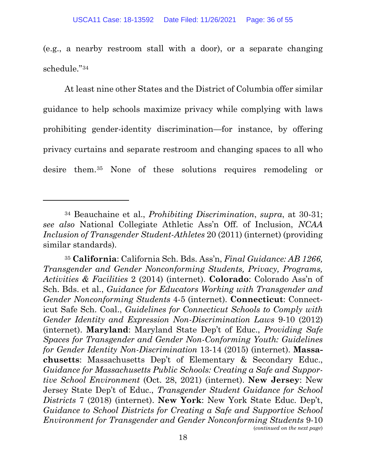(e.g., a nearby restroom stall with a door), or a separate changing schedule."[34](#page-35-0)

At least nine other States and the District of Columbia offer similar guidance to help schools maximize privacy while complying with laws prohibiting gender-identity discrimination—for instance, by offering privacy curtains and separate restroom and changing spaces to all who desire them.[35](#page-35-1) None of these solutions requires remodeling or

<span id="page-35-0"></span><sup>34</sup> Beauchaine et al., *Prohibiting Discrimination*, *supra*, at 30-31; *see also* National Collegiate Athletic Ass'n Off. of Inclusion, *NCAA Inclusion of Transgender Student-Athletes* 20 (2011) (internet) (providing similar standards).

<span id="page-35-1"></span><sup>35</sup> **California**: California Sch. Bds. Ass'n, *Final Guidance: AB 1266, Transgender and Gender Nonconforming Students, Privacy, Programs, Activities & Facilities* 2 (2014) (internet). **Colorado**: Colorado Ass'n of Sch. Bds. et al., *Guidance for Educators Working with Transgender and Gender Nonconforming Students* 4-5 (internet). **Connecticut**: Connecticut Safe Sch. Coal., *Guidelines for Connecticut Schools to Comply with Gender Identity and Expression Non-Discrimination Laws* 9-10 (2012) (internet). **Maryland**: Maryland State Dep't of Educ., *Providing Safe Spaces for Transgender and Gender Non-Conforming Youth: Guidelines for Gender Identity Non-Discrimination* 13-14 (2015) (internet). **Massachusetts**: Massachusetts Dep't of Elementary & Secondary Educ., *Guidance for Massachusetts Public Schools: Creating a Safe and Supportive School Environment* (Oct. 28, 2021) (internet). **New Jersey**: New Jersey State Dep't of Educ., *Transgender Student Guidance for School Districts* 7 (2018) (internet). **New York**: New York State Educ. Dep't, *Guidance to School Districts for Creating a Safe and Supportive School Environment for Transgender and Gender Nonconforming Students* 9-10 (*continued on the next page*)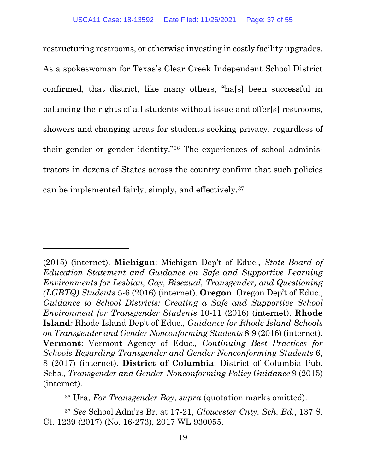restructuring restrooms, or otherwise investing in costly facility upgrades. As a spokeswoman for Texas's Clear Creek Independent School District confirmed, that district, like many others, "ha[s] been successful in balancing the rights of all students without issue and offer[s] restrooms, showers and changing areas for students seeking privacy, regardless of their gender or gender identity."[36](#page-36-0) The experiences of school administrators in dozens of States across the country confirm that such policies can be implemented fairly, simply, and effectively.[37](#page-36-1)

<sup>36</sup> Ura, *For Transgender Boy*, *supra* (quotation marks omitted).

<span id="page-36-1"></span><span id="page-36-0"></span><sup>37</sup> *See* School Adm'rs Br. at 17-21, *Gloucester Cnty. Sch. Bd.*, 137 S. Ct. 1239 (2017) (No. 16-273), 2017 WL 930055.

<sup>(2015) (</sup>internet). **Michigan**: Michigan Dep't of Educ., *State Board of Education Statement and Guidance on Safe and Supportive Learning Environments for Lesbian, Gay, Bisexual, Transgender, and Questioning (LGBTQ) Students* 5-6 (2016) (internet). **Oregon**: Oregon Dep't of Educ., *Guidance to School Districts: Creating a Safe and Supportive School Environment for Transgender Students* 10-11 (2016) (internet). **Rhode Island***:* Rhode Island Dep't of Educ., *Guidance for Rhode Island Schools on Transgender and Gender Nonconforming Students* 8-9 (2016) (internet). **Vermont**: Vermont Agency of Educ.*, Continuing Best Practices for Schools Regarding Transgender and Gender Nonconforming Students* 6, 8 (2017) (internet). **District of Columbia**: District of Columbia Pub. Schs., *Transgender and Gender-Nonconforming Policy Guidance* 9 (2015) (internet).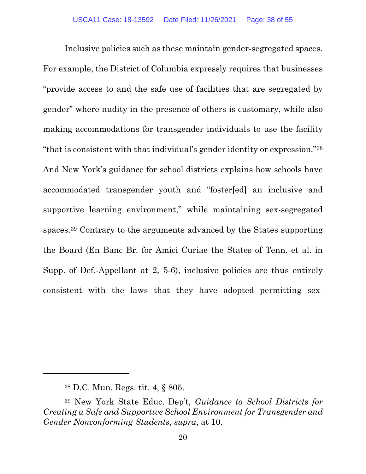Inclusive policies such as these maintain gender-segregated spaces. For example, the District of Columbia expressly requires that businesses "provide access to and the safe use of facilities that are segregated by gender" where nudity in the presence of others is customary, while also making accommodations for transgender individuals to use the facility "that is consistent with that individual's gender identity or expression."[38](#page-37-0) And New York's guidance for school districts explains how schools have accommodated transgender youth and "foster[ed] an inclusive and supportive learning environment," while maintaining sex-segregated spaces.[39](#page-37-1) Contrary to the arguments advanced by the States supporting the Board (En Banc Br. for Amici Curiae the States of Tenn. et al. in Supp. of Def.-Appellant at 2, 5-6), inclusive policies are thus entirely consistent with the laws that they have adopted permitting sex-

<sup>38</sup> D.C. Mun. Regs. tit. 4, § 805.

<span id="page-37-1"></span><span id="page-37-0"></span><sup>39</sup> New York State Educ. Dep't, *Guidance to School Districts for Creating a Safe and Supportive School Environment for Transgender and Gender Nonconforming Students*, *supra*, at 10.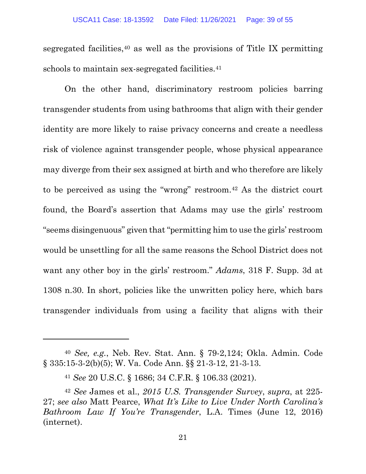segregated facilities,  $40$  as well as the provisions of Title IX permitting schools to maintain sex-segregated facilities.<sup>41</sup>

On the other hand, discriminatory restroom policies barring transgender students from using bathrooms that align with their gender identity are more likely to raise privacy concerns and create a needless risk of violence against transgender people, whose physical appearance may diverge from their sex assigned at birth and who therefore are likely to be perceived as using the "wrong" restroom.[42](#page-38-2) As the district court found, the Board's assertion that Adams may use the girls' restroom "seems disingenuous" given that "permitting him to use the girls' restroom would be unsettling for all the same reasons the School District does not want any other boy in the girls' restroom." *Adams*, 318 F. Supp. 3d at 1308 n.30. In short, policies like the unwritten policy here, which bars transgender individuals from using a facility that aligns with their

<span id="page-38-0"></span><sup>40</sup> *See, e.g.*, Neb. Rev. Stat. Ann. § 79-2,124; Okla. Admin. Code § 335:15-3-2(b)(5); W. Va. Code Ann. §§ 21-3-12, 21-3-13.

<sup>41</sup> *See* 20 U.S.C. § 1686; 34 C.F.R. § 106.33 (2021).

<span id="page-38-2"></span><span id="page-38-1"></span><sup>42</sup> *See* James et al., *2015 U.S. Transgender Survey*, *supra*, at 225- 27; *see also* Matt Pearce, *What It's Like to Live Under North Carolina's Bathroom Law If You're Transgender*, L.A. Times (June 12, 2016) (internet).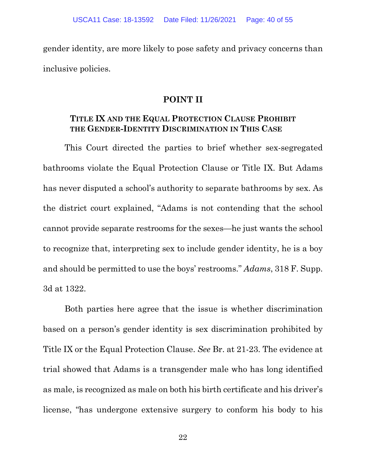<span id="page-39-0"></span>gender identity, are more likely to pose safety and privacy concerns than inclusive policies.

#### **POINT II**

#### <span id="page-39-1"></span>**TITLE IX AND THE EQUAL PROTECTION CLAUSE PROHIBIT THE GENDER-IDENTITY DISCRIMINATION IN THIS CASE**

This Court directed the parties to brief whether sex-segregated bathrooms violate the Equal Protection Clause or Title IX. But Adams has never disputed a school's authority to separate bathrooms by sex. As the district court explained, "Adams is not contending that the school cannot provide separate restrooms for the sexes—he just wants the school to recognize that, interpreting sex to include gender identity, he is a boy and should be permitted to use the boys' restrooms." *Adams*, 318 F. Supp. 3d at 1322.

Both parties here agree that the issue is whether discrimination based on a person's gender identity is sex discrimination prohibited by Title IX or the Equal Protection Clause. *See* Br. at 21-23. The evidence at trial showed that Adams is a transgender male who has long identified as male, is recognized as male on both his birth certificate and his driver's license, "has undergone extensive surgery to conform his body to his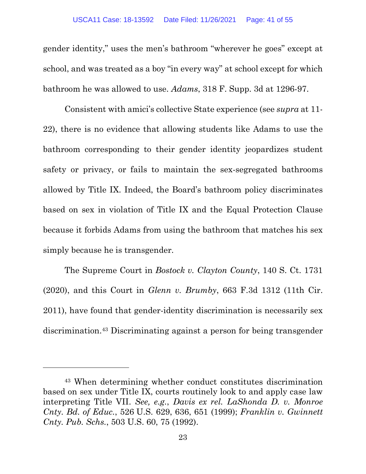gender identity," uses the men's bathroom "wherever he goes" except at school, and was treated as a boy "in every way" at school except for which bathroom he was allowed to use. *Adams*, 318 F. Supp. 3d at 1296-97.

Consistent with amici's collective State experience (see *supra* at 11- 22), there is no evidence that allowing students like Adams to use the bathroom corresponding to their gender identity jeopardizes student safety or privacy, or fails to maintain the sex-segregated bathrooms allowed by Title IX. Indeed, the Board's bathroom policy discriminates based on sex in violation of Title IX and the Equal Protection Clause because it forbids Adams from using the bathroom that matches his sex simply because he is transgender.

The Supreme Court in *Bostock v. Clayton County*, 140 S. Ct. 1731 (2020), and this Court in *Glenn v. Brumby*, 663 F.3d 1312 (11th Cir. 2011), have found that gender-identity discrimination is necessarily sex discrimination.[43](#page-40-0) Discriminating against a person for being transgender

<span id="page-40-0"></span><sup>43</sup> When determining whether conduct constitutes discrimination based on sex under Title IX, courts routinely look to and apply case law interpreting Title VII. *See, e.g.*, *Davis ex rel. LaShonda D. v. Monroe Cnty. Bd. of Educ.*, 526 U.S. 629, 636, 651 (1999); *Franklin v. Gwinnett Cnty. Pub. Schs.*, 503 U.S. 60, 75 (1992).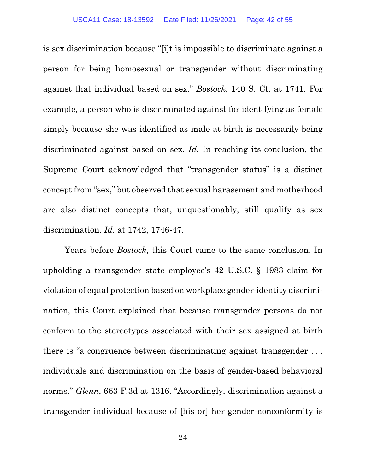is sex discrimination because "[i]t is impossible to discriminate against a person for being homosexual or transgender without discriminating against that individual based on sex." *Bostock*, 140 S. Ct. at 1741. For example, a person who is discriminated against for identifying as female simply because she was identified as male at birth is necessarily being discriminated against based on sex. *Id.* In reaching its conclusion, the Supreme Court acknowledged that "transgender status" is a distinct concept from "sex," but observed that sexual harassment and motherhood are also distinct concepts that, unquestionably, still qualify as sex discrimination. *Id.* at 1742, 1746-47.

Years before *Bostock*, this Court came to the same conclusion. In upholding a transgender state employee's 42 U.S.C. § 1983 claim for violation of equal protection based on workplace gender-identity discrimination, this Court explained that because transgender persons do not conform to the stereotypes associated with their sex assigned at birth there is "a congruence between discriminating against transgender . . . individuals and discrimination on the basis of gender-based behavioral norms." *Glenn*, 663 F.3d at 1316. "Accordingly, discrimination against a transgender individual because of [his or] her gender-nonconformity is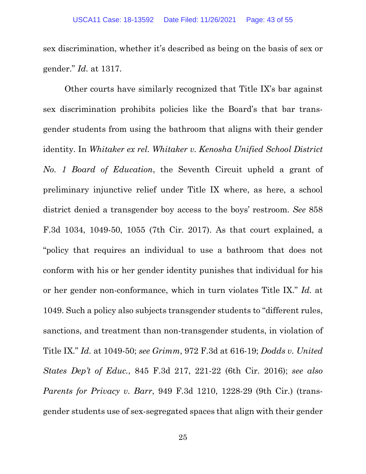sex discrimination, whether it's described as being on the basis of sex or gender." *Id.* at 1317.

Other courts have similarly recognized that Title IX's bar against sex discrimination prohibits policies like the Board's that bar transgender students from using the bathroom that aligns with their gender identity. In *Whitaker ex rel. Whitaker v. Kenosha Unified School District No. 1 Board of Education*, the Seventh Circuit upheld a grant of preliminary injunctive relief under Title IX where, as here, a school district denied a transgender boy access to the boys' restroom. *See* 858 F.3d 1034, 1049-50, 1055 (7th Cir. 2017). As that court explained, a "policy that requires an individual to use a bathroom that does not conform with his or her gender identity punishes that individual for his or her gender non-conformance, which in turn violates Title IX." *Id.* at 1049. Such a policy also subjects transgender students to "different rules, sanctions, and treatment than non-transgender students, in violation of Title IX." *Id.* at 1049-50; *see Grimm*, 972 F.3d at 616-19; *Dodds v. United States Dep't of Educ.*, 845 F.3d 217, 221-22 (6th Cir. 2016); *see also Parents for Privacy v. Barr*, 949 F.3d 1210, 1228-29 (9th Cir.) (transgender students use of sex-segregated spaces that align with their gender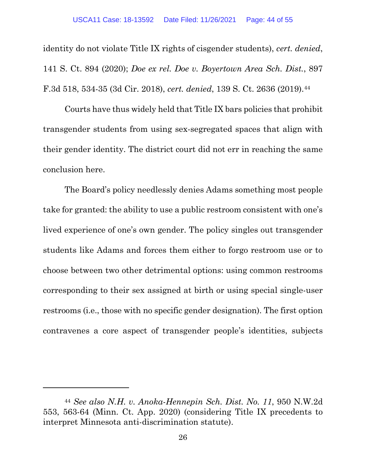identity do not violate Title IX rights of cisgender students), *cert. denied*, 141 S. Ct. 894 (2020); *Doe ex rel. Doe v. Boyertown Area Sch. Dist.*, 897 F.3d 518, 534-35 (3d Cir. 2018), *cert. denied*, 139 S. Ct. 2636 (2019).[44](#page-43-0)

Courts have thus widely held that Title IX bars policies that prohibit transgender students from using sex-segregated spaces that align with their gender identity. The district court did not err in reaching the same conclusion here.

The Board's policy needlessly denies Adams something most people take for granted: the ability to use a public restroom consistent with one's lived experience of one's own gender. The policy singles out transgender students like Adams and forces them either to forgo restroom use or to choose between two other detrimental options: using common restrooms corresponding to their sex assigned at birth or using special single-user restrooms (i.e., those with no specific gender designation). The first option contravenes a core aspect of transgender people's identities, subjects

<span id="page-43-0"></span><sup>44</sup> *See also N.H. v. Anoka-Hennepin Sch. Dist. No. 11*, 950 N.W.2d 553, 563-64 (Minn. Ct. App. 2020) (considering Title IX precedents to interpret Minnesota anti-discrimination statute).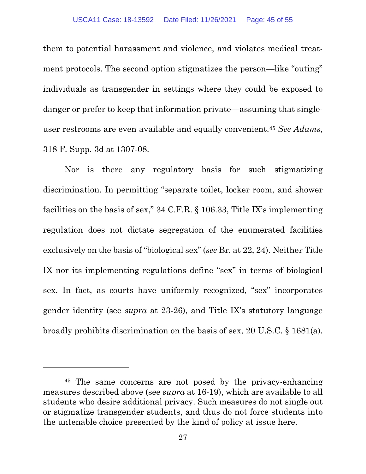them to potential harassment and violence, and violates medical treatment protocols. The second option stigmatizes the person—like "outing" individuals as transgender in settings where they could be exposed to danger or prefer to keep that information private—assuming that singleuser restrooms are even available and equally convenient.[45](#page-44-0) *See Adams*, 318 F. Supp. 3d at 1307-08.

Nor is there any regulatory basis for such stigmatizing discrimination. In permitting "separate toilet, locker room, and shower facilities on the basis of sex," 34 C.F.R. § 106.33, Title IX's implementing regulation does not dictate segregation of the enumerated facilities exclusively on the basis of "biological sex" (*see* Br. at 22, 24). Neither Title IX nor its implementing regulations define "sex" in terms of biological sex. In fact, as courts have uniformly recognized, "sex" incorporates gender identity (see *supra* at 23-26), and Title IX's statutory language broadly prohibits discrimination on the basis of sex, 20 U.S.C. § 1681(a).

<span id="page-44-0"></span><sup>45</sup> The same concerns are not posed by the privacy-enhancing measures described above (see *supra* at 16-19), which are available to all students who desire additional privacy. Such measures do not single out or stigmatize transgender students, and thus do not force students into the untenable choice presented by the kind of policy at issue here.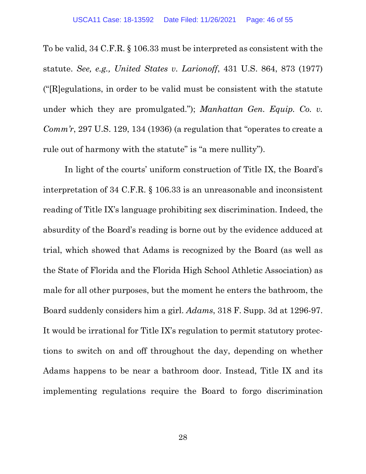To be valid, 34 C.F.R. § 106.33 must be interpreted as consistent with the statute. *See, e.g., United States v. Larionoff*, 431 U.S. 864, 873 (1977) ("[R]egulations, in order to be valid must be consistent with the statute under which they are promulgated."); *Manhattan Gen. Equip. Co. v. Comm'r*, 297 U.S. 129, 134 (1936) (a regulation that "operates to create a rule out of harmony with the statute" is "a mere nullity").

In light of the courts' uniform construction of Title IX, the Board's interpretation of 34 C.F.R. § 106.33 is an unreasonable and inconsistent reading of Title IX's language prohibiting sex discrimination. Indeed, the absurdity of the Board's reading is borne out by the evidence adduced at trial, which showed that Adams is recognized by the Board (as well as the State of Florida and the Florida High School Athletic Association) as male for all other purposes, but the moment he enters the bathroom, the Board suddenly considers him a girl. *Adams*, 318 F. Supp. 3d at 1296-97. It would be irrational for Title IX's regulation to permit statutory protections to switch on and off throughout the day, depending on whether Adams happens to be near a bathroom door. Instead, Title IX and its implementing regulations require the Board to forgo discrimination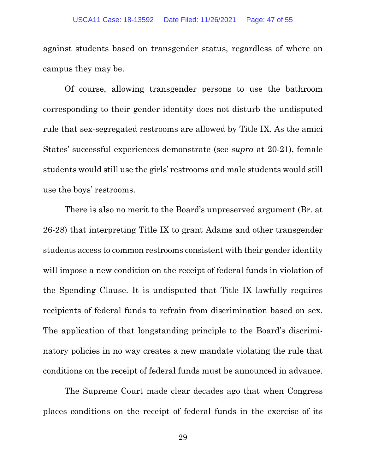against students based on transgender status, regardless of where on campus they may be.

Of course, allowing transgender persons to use the bathroom corresponding to their gender identity does not disturb the undisputed rule that sex-segregated restrooms are allowed by Title IX. As the amici States' successful experiences demonstrate (see *supra* at 20-21), female students would still use the girls' restrooms and male students would still use the boys' restrooms.

There is also no merit to the Board's unpreserved argument (Br. at 26-28) that interpreting Title IX to grant Adams and other transgender students access to common restrooms consistent with their gender identity will impose a new condition on the receipt of federal funds in violation of the Spending Clause. It is undisputed that Title IX lawfully requires recipients of federal funds to refrain from discrimination based on sex. The application of that longstanding principle to the Board's discriminatory policies in no way creates a new mandate violating the rule that conditions on the receipt of federal funds must be announced in advance.

The Supreme Court made clear decades ago that when Congress places conditions on the receipt of federal funds in the exercise of its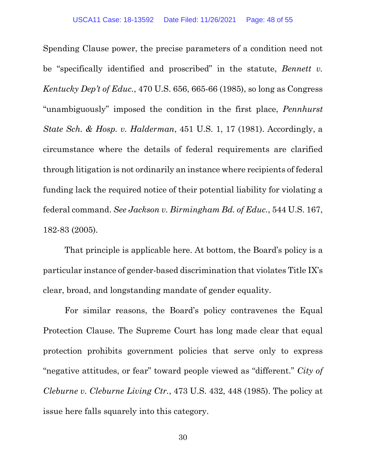Spending Clause power, the precise parameters of a condition need not be "specifically identified and proscribed" in the statute, *Bennett v. Kentucky Dep't of Educ.*, 470 U.S. 656, 665-66 (1985), so long as Congress "unambiguously" imposed the condition in the first place, *Pennhurst State Sch. & Hosp. v. Halderman*, 451 U.S. 1, 17 (1981). Accordingly, a circumstance where the details of federal requirements are clarified through litigation is not ordinarily an instance where recipients of federal funding lack the required notice of their potential liability for violating a federal command. *See Jackson v. Birmingham Bd. of Educ.*, 544 U.S. 167, 182-83 (2005).

That principle is applicable here. At bottom, the Board's policy is a particular instance of gender-based discrimination that violates Title IX's clear, broad, and longstanding mandate of gender equality.

For similar reasons, the Board's policy contravenes the Equal Protection Clause. The Supreme Court has long made clear that equal protection prohibits government policies that serve only to express "negative attitudes, or fear" toward people viewed as "different." *City of Cleburne v. Cleburne Living Ctr.*, 473 U.S. 432, 448 (1985). The policy at issue here falls squarely into this category.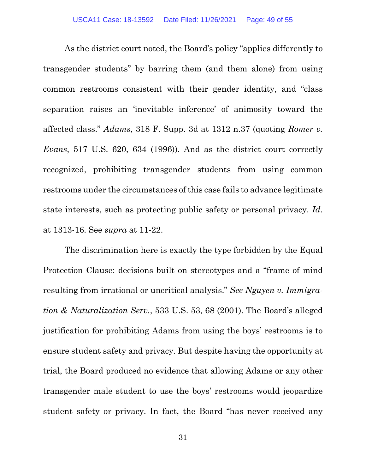As the district court noted, the Board's policy "applies differently to transgender students" by barring them (and them alone) from using common restrooms consistent with their gender identity, and "class separation raises an 'inevitable inference' of animosity toward the affected class." *Adams*, 318 F. Supp. 3d at 1312 n.37 (quoting *Romer v. Evans*, 517 U.S. 620, 634 (1996)). And as the district court correctly recognized, prohibiting transgender students from using common restrooms under the circumstances of this case fails to advance legitimate state interests, such as protecting public safety or personal privacy. *Id.* at 1313-16. See *supra* at 11-22.

The discrimination here is exactly the type forbidden by the Equal Protection Clause: decisions built on stereotypes and a "frame of mind resulting from irrational or uncritical analysis." *See Nguyen v. Immigration & Naturalization Serv.*, 533 U.S. 53, 68 (2001). The Board's alleged justification for prohibiting Adams from using the boys' restrooms is to ensure student safety and privacy. But despite having the opportunity at trial, the Board produced no evidence that allowing Adams or any other transgender male student to use the boys' restrooms would jeopardize student safety or privacy. In fact, the Board "has never received any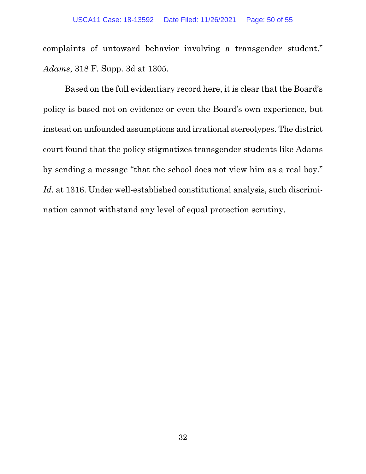complaints of untoward behavior involving a transgender student." *Adams*, 318 F. Supp. 3d at 1305.

Based on the full evidentiary record here, it is clear that the Board's policy is based not on evidence or even the Board's own experience, but instead on unfounded assumptions and irrational stereotypes. The district court found that the policy stigmatizes transgender students like Adams by sending a message "that the school does not view him as a real boy." *Id.* at 1316. Under well-established constitutional analysis, such discrimination cannot withstand any level of equal protection scrutiny.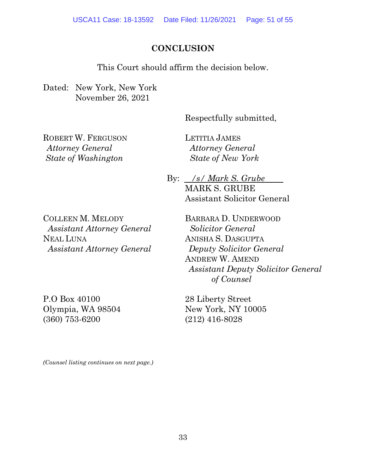#### **CONCLUSION**

This Court should affirm the decision below.

<span id="page-50-0"></span>Dated: New York, New York November 26, 2021

Respectfully submitted,

ROBERT W. FERGUSON *Attorney General State of Washington*

LETITIA JAMES *Attorney General State of New York*

By: /s/ Mark S. Grube MARK S. GRUBE Assistant Solicitor General

COLLEEN M. MELODY *Assistant Attorney General* NEAL LUNA *Assistant Attorney General*

P.O Box 40100 Olympia, WA 98504 (360) 753-6200

BARBARA D. UNDERWOOD *Solicitor General* ANISHA S. DASGUPTA *Deputy Solicitor General* ANDREW W. AMEND *Assistant Deputy Solicitor General of Counsel*

28 Liberty Street New York, NY 10005 (212) 416-8028

*(Counsel listing continues on next page.)*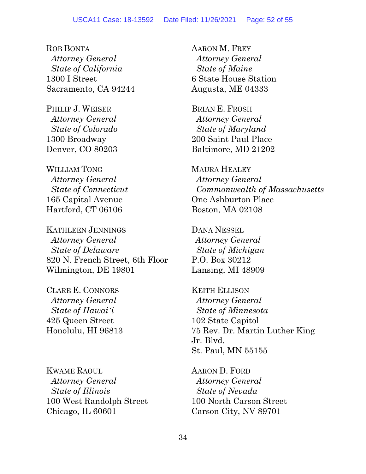ROB BONTA  *Attorney General State of California* 1300 I Street Sacramento, CA 94244

PHILIP J. WEISER  *Attorney General State of Colorado* 1300 Broadway Denver, CO 80203

WILLIAM TONG *Attorney General State of Connecticut* 165 Capital Avenue Hartford, CT 06106

KATHLEEN JENNINGS  *Attorney General State of Delaware* 820 N. French Street, 6th Floor Wilmington, DE 19801

CLARE E. CONNORS  *Attorney General State of Hawaiʻi*  425 Queen Street Honolulu, HI 96813

KWAME RAOUL  *Attorney General State of Illinois* 100 West Randolph Street Chicago, IL 60601

AARON M. FREY  *Attorney General State of Maine* 6 State House Station Augusta, ME 04333

BRIAN E. FROSH  *Attorney General State of Maryland* 200 Saint Paul Place Baltimore, MD 21202

MAURA HEALEY  *Attorney General Commonwealth of Massachusetts* One Ashburton Place Boston, MA 02108

DANA NESSEL *Attorney General State of Michigan* P.O. Box 30212 Lansing, MI 48909

KEITH ELLISON  *Attorney General State of Minnesota* 102 State Capitol 75 Rev. Dr. Martin Luther King Jr. Blvd. St. Paul, MN 55155

AARON D. FORD  *Attorney General State of Nevada* 100 North Carson Street Carson City, NV 89701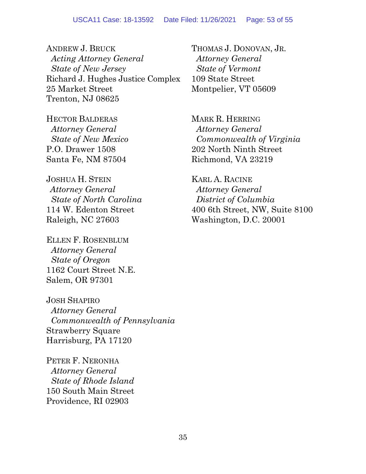ANDREW J. BRUCK *Acting Attorney General State of New Jersey* Richard J. Hughes Justice Complex 25 Market Street Trenton, NJ 08625

HECTOR BALDERAS  *Attorney General State of New Mexico* P.O. Drawer 1508 Santa Fe, NM 87504

JOSHUA H. STEIN *Attorney General State of North Carolina* 114 W. Edenton Street Raleigh, NC 27603

ELLEN F. ROSENBLUM  *Attorney General State of Oregon* 1162 Court Street N.E. Salem, OR 97301

JOSH SHAPIRO  *Attorney General Commonwealth of Pennsylvania* Strawberry Square Harrisburg, PA 17120

PETER F. NERONHA  *Attorney General State of Rhode Island* 150 South Main Street Providence, RI 02903

THOMAS J. DONOVAN, JR.  *Attorney General State of Vermont* 109 State Street Montpelier, VT 05609

MARK R. HERRING  *Attorney General Commonwealth of Virginia*  202 North Ninth Street Richmond, VA 23219

KARL A. RACINE  *Attorney General District of Columbia* 400 6th Street, NW, Suite 8100 Washington, D.C. 20001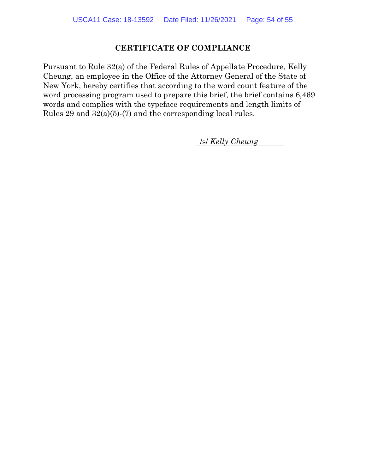#### **CERTIFICATE OF COMPLIANCE**

Pursuant to Rule 32(a) of the Federal Rules of Appellate Procedure, Kelly Cheung, an employee in the Office of the Attorney General of the State of New York, hereby certifies that according to the word count feature of the word processing program used to prepare this brief, the brief contains 6,469 words and complies with the typeface requirements and length limits of Rules 29 and 32(a)(5)-(7) and the corresponding local rules.

. /s/ *Kelly Cheung* .